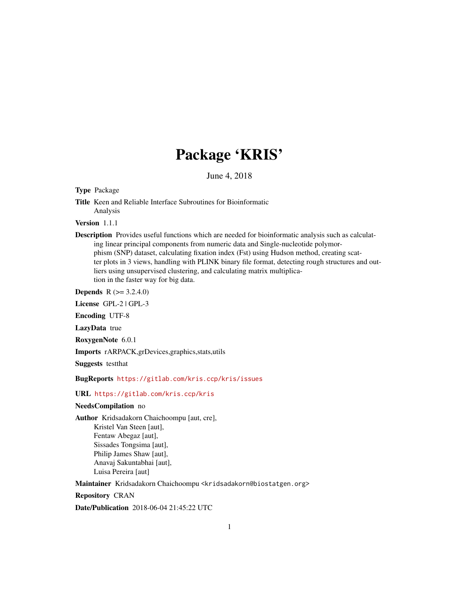## Package 'KRIS'

June 4, 2018

Type Package

Title Keen and Reliable Interface Subroutines for Bioinformatic Analysis

Version 1.1.1

Description Provides useful functions which are needed for bioinformatic analysis such as calculating linear principal components from numeric data and Single-nucleotide polymorphism (SNP) dataset, calculating fixation index (Fst) using Hudson method, creating scatter plots in 3 views, handling with PLINK binary file format, detecting rough structures and outliers using unsupervised clustering, and calculating matrix multiplication in the faster way for big data.

**Depends** R  $(>= 3.2.4.0)$ 

License GPL-2 | GPL-3

Encoding UTF-8

LazyData true

RoxygenNote 6.0.1

Imports rARPACK,grDevices,graphics,stats,utils

Suggests testthat

BugReports <https://gitlab.com/kris.ccp/kris/issues>

#### URL <https://gitlab.com/kris.ccp/kris>

#### NeedsCompilation no

Author Kridsadakorn Chaichoompu [aut, cre],

Kristel Van Steen [aut], Fentaw Abegaz [aut], Sissades Tongsima [aut], Philip James Shaw [aut], Anavaj Sakuntabhai [aut], Luisa Pereira [aut]

Maintainer Kridsadakorn Chaichoompu <kridsadakorn@biostatgen.org>

Repository CRAN

Date/Publication 2018-06-04 21:45:22 UTC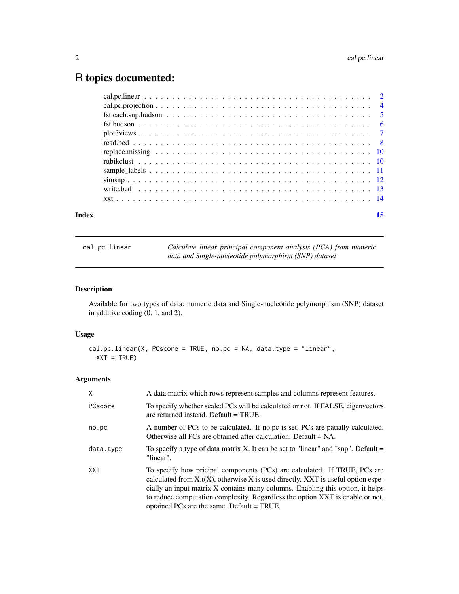### <span id="page-1-0"></span>R topics documented:

| Index | 15 |
|-------|----|
|       |    |
|       |    |
|       |    |
|       |    |
|       |    |
|       |    |
|       |    |
|       |    |
|       |    |
|       |    |
|       |    |
|       |    |

<span id="page-1-1"></span>cal.pc.linear *Calculate linear principal component analysis (PCA) from numeric data and Single-nucleotide polymorphism (SNP) dataset*

#### Description

Available for two types of data; numeric data and Single-nucleotide polymorphism (SNP) dataset in additive coding (0, 1, and 2).

#### Usage

```
cal.pc.linear(X, PCscore = TRUE, no.pc = NA, data.type = "linear",
 XXT = TRUE
```
#### Arguments

| X         | A data matrix which rows represent samples and columns represent features.                                                                                                                                                                                                                                                                                                           |
|-----------|--------------------------------------------------------------------------------------------------------------------------------------------------------------------------------------------------------------------------------------------------------------------------------------------------------------------------------------------------------------------------------------|
| PCscore   | To specify whether scaled PCs will be calculated or not. If FALSE, eigenvectors<br>are returned instead. Default $=$ TRUE.                                                                                                                                                                                                                                                           |
| no.pc     | A number of PCs to be calculated. If no.pc is set, PCs are patially calculated.<br>Otherwise all PCs are obtained after calculation. Default $= NA$ .                                                                                                                                                                                                                                |
| data.type | To specify a type of data matrix X. It can be set to "linear" and "snp". Default $=$<br>"linear".                                                                                                                                                                                                                                                                                    |
| XXT       | To specify how pricipal components (PCs) are calculated. If TRUE, PCs are<br>calculated from $X_{.}$ t(X), otherwise X is used directly. XXT is useful option espe-<br>cially an input matrix X contains many columns. Enabling this option, it helps<br>to reduce computation complexity. Regardless the option XXT is enable or not,<br>optained PCs are the same. Default = TRUE. |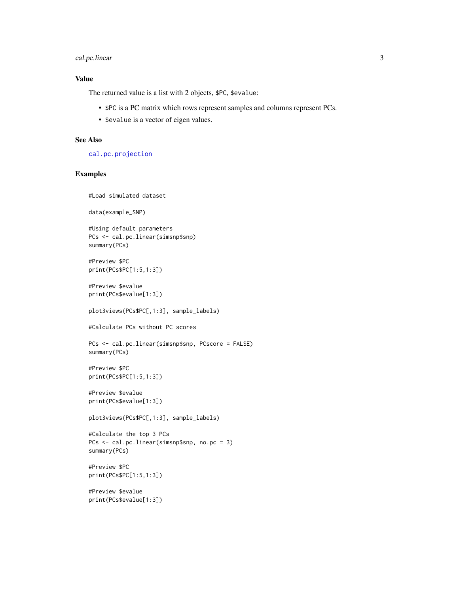#### <span id="page-2-0"></span>cal.pc.linear 3

#### Value

The returned value is a list with 2 objects, \$PC, \$evalue:

- \$PC is a PC matrix which rows represent samples and columns represent PCs.
- \$evalue is a vector of eigen values.

#### See Also

[cal.pc.projection](#page-3-1)

#### Examples

#Load simulated dataset

data(example\_SNP)

```
#Using default parameters
PCs <- cal.pc.linear(simsnp$snp)
summary(PCs)
```
#Preview \$PC print(PCs\$PC[1:5,1:3])

#Preview \$evalue print(PCs\$evalue[1:3])

plot3views(PCs\$PC[,1:3], sample\_labels)

#Calculate PCs without PC scores

PCs <- cal.pc.linear(simsnp\$snp, PCscore = FALSE) summary(PCs)

#Preview \$PC print(PCs\$PC[1:5,1:3])

#Preview \$evalue print(PCs\$evalue[1:3])

plot3views(PCs\$PC[,1:3], sample\_labels)

#Calculate the top 3 PCs PCs <- cal.pc.linear(simsnp\$snp, no.pc = 3) summary(PCs)

#Preview \$PC print(PCs\$PC[1:5,1:3])

#Preview \$evalue print(PCs\$evalue[1:3])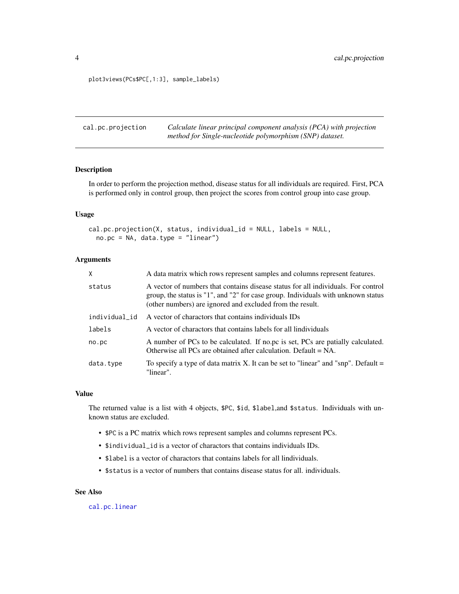<span id="page-3-0"></span>plot3views(PCs\$PC[,1:3], sample\_labels)

<span id="page-3-1"></span>

| cal.pc.projection | Calculate linear principal component analysis (PCA) with projection |
|-------------------|---------------------------------------------------------------------|
|                   | method for Single-nucleotide polymorphism (SNP) dataset.            |

#### Description

In order to perform the projection method, disease status for all individuals are required. First, PCA is performed only in control group, then project the scores from control group into case group.

#### Usage

```
cal.pc.projection(X, status, individual_id = NULL, labels = NULL,
 no.pc = NA, data.type = "linear")
```
#### Arguments

| X             | A data matrix which rows represent samples and columns represent features.                                                                                                                                                          |
|---------------|-------------------------------------------------------------------------------------------------------------------------------------------------------------------------------------------------------------------------------------|
| status        | A vector of numbers that contains disease status for all individuals. For control<br>group, the status is "1", and "2" for case group. Individuals with unknown status<br>(other numbers) are ignored and excluded from the result. |
| individual_id | A vector of charactors that contains individuals IDs                                                                                                                                                                                |
| labels        | A vector of charactors that contains labels for all lindividuals                                                                                                                                                                    |
| no.pc         | A number of PCs to be calculated. If no.pc is set, PCs are patially calculated.<br>Otherwise all PCs are obtained after calculation. Default $= NA$ .                                                                               |
| data.type     | To specify a type of data matrix X. It can be set to "linear" and "snp". Default $=$<br>"linear".                                                                                                                                   |

#### Value

The returned value is a list with 4 objects, \$PC, \$id, \$label,and \$status. Individuals with unknown status are excluded.

- \$PC is a PC matrix which rows represent samples and columns represent PCs.
- \$individual\_id is a vector of charactors that contains individuals IDs.
- \$label is a vector of charactors that contains labels for all lindividuals.
- \$status is a vector of numbers that contains disease status for all. individuals.

#### See Also

[cal.pc.linear](#page-1-1)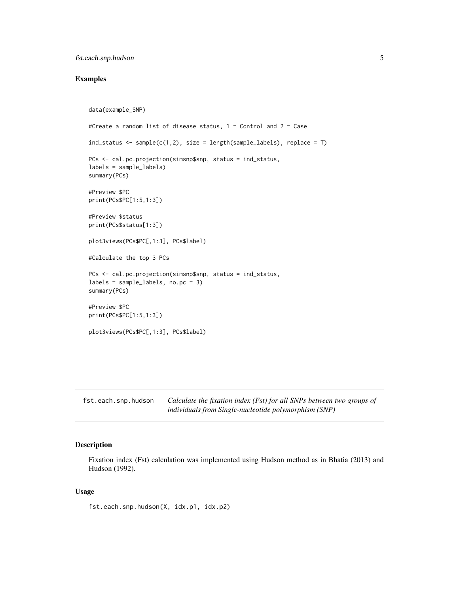#### <span id="page-4-0"></span>fst.each.snp.hudson 5

#### Examples

```
data(example_SNP)
#Create a random list of disease status, 1 = Control and 2 = Case
ind_status <- sample(c(1,2), size = length(sample_labels), replace = T)
PCs <- cal.pc.projection(simsnp$snp, status = ind_status,
labels = sample_labels)
summary(PCs)
#Preview $PC
print(PCs$PC[1:5,1:3])
#Preview $status
print(PCs$status[1:3])
plot3views(PCs$PC[,1:3], PCs$label)
#Calculate the top 3 PCs
PCs <- cal.pc.projection(simsnp$snp, status = ind_status,
labels = sample_labels, no.pc = 3)
summary(PCs)
#Preview $PC
print(PCs$PC[1:5,1:3])
plot3views(PCs$PC[,1:3], PCs$label)
```
<span id="page-4-1"></span>fst.each.snp.hudson *Calculate the fixation index (Fst) for all SNPs between two groups of individuals from Single-nucleotide polymorphism (SNP)*

#### Description

Fixation index (Fst) calculation was implemented using Hudson method as in Bhatia (2013) and Hudson (1992).

#### Usage

fst.each.snp.hudson(X, idx.p1, idx.p2)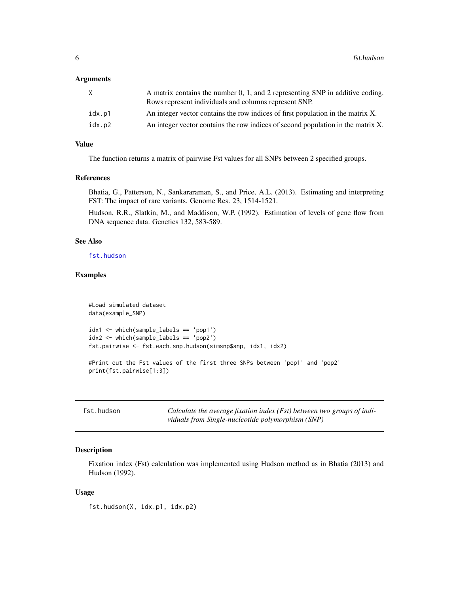#### <span id="page-5-0"></span>Arguments

| A matrix contains the number 0, 1, and 2 representing SNP in additive coding.<br>Rows represent individuals and columns represent SNP. |
|----------------------------------------------------------------------------------------------------------------------------------------|
| An integer vector contains the row indices of first population in the matrix X.                                                        |
| An integer vector contains the row indices of second population in the matrix X.                                                       |
|                                                                                                                                        |

#### Value

The function returns a matrix of pairwise Fst values for all SNPs between 2 specified groups.

#### References

Bhatia, G., Patterson, N., Sankararaman, S., and Price, A.L. (2013). Estimating and interpreting FST: The impact of rare variants. Genome Res. 23, 1514-1521.

Hudson, R.R., Slatkin, M., and Maddison, W.P. (1992). Estimation of levels of gene flow from DNA sequence data. Genetics 132, 583-589.

#### See Also

[fst.hudson](#page-5-1)

#### Examples

```
#Load simulated dataset
data(example_SNP)
idx1 <- which(sample_labels == 'pop1')
idx2 <- which(sample_labels == 'pop2')
fst.pairwise <- fst.each.snp.hudson(simsnp$snp, idx1, idx2)
#Print out the Fst values of the first three SNPs between 'pop1' and 'pop2'
print(fst.pairwise[1:3])
```
<span id="page-5-1"></span>

| fst.hudson | Calculate the average fixation index (Fst) between two groups of indi- |
|------------|------------------------------------------------------------------------|
|            | viduals from Single-nucleotide polymorphism (SNP)                      |

#### Description

Fixation index (Fst) calculation was implemented using Hudson method as in Bhatia (2013) and Hudson (1992).

#### Usage

fst.hudson(X, idx.p1, idx.p2)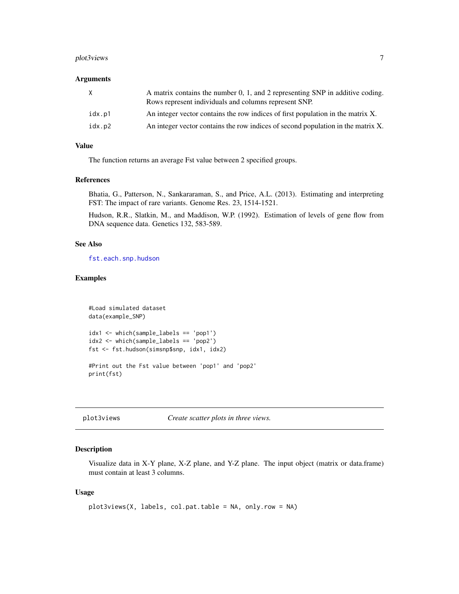#### <span id="page-6-0"></span>plot3views 7

#### **Arguments**

| X.     | A matrix contains the number 0, 1, and 2 representing SNP in additive coding.<br>Rows represent individuals and columns represent SNP. |
|--------|----------------------------------------------------------------------------------------------------------------------------------------|
| idx.p1 | An integer vector contains the row indices of first population in the matrix X.                                                        |
| idx.p2 | An integer vector contains the row indices of second population in the matrix X.                                                       |

#### Value

The function returns an average Fst value between 2 specified groups.

#### References

Bhatia, G., Patterson, N., Sankararaman, S., and Price, A.L. (2013). Estimating and interpreting FST: The impact of rare variants. Genome Res. 23, 1514-1521.

Hudson, R.R., Slatkin, M., and Maddison, W.P. (1992). Estimation of levels of gene flow from DNA sequence data. Genetics 132, 583-589.

#### See Also

[fst.each.snp.hudson](#page-4-1)

#### Examples

```
#Load simulated dataset
data(example_SNP)
idx1 <- which(sample_labels == 'pop1')
idx2 <- which(sample_labels == 'pop2')
fst <- fst.hudson(simsnp$snp, idx1, idx2)
#Print out the Fst value between 'pop1' and 'pop2'
print(fst)
```
plot3views *Create scatter plots in three views.*

#### Description

Visualize data in X-Y plane, X-Z plane, and Y-Z plane. The input object (matrix or data.frame) must contain at least 3 columns.

#### Usage

```
plot3views(X, labels, col.pat.table = NA, only.row = NA)
```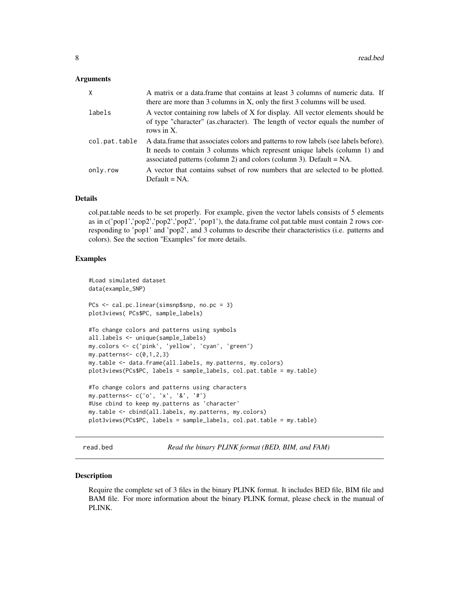#### <span id="page-7-0"></span>**Arguments**

| X             | A matrix or a data frame that contains at least 3 columns of numeric data. If<br>there are more than 3 columns in X, only the first 3 columns will be used.                                                                                 |
|---------------|---------------------------------------------------------------------------------------------------------------------------------------------------------------------------------------------------------------------------------------------|
| labels        | A vector containing row labels of X for display. All vector elements should be<br>of type "character" (as.character). The length of vector equals the number of<br>rows in X.                                                               |
| col.pat.table | A data frame that associates colors and patterns to row labels (see labels before).<br>It needs to contain 3 columns which represent unique labels (column 1) and<br>associated patterns (column 2) and colors (column 3). Default $= NA$ . |
| only.row      | A vector that contains subset of row numbers that are selected to be plotted.<br>$Default = NA.$                                                                                                                                            |

#### Details

col.pat.table needs to be set properly. For example, given the vector labels consists of 5 elements as in c('pop1','pop2','pop2','pop2', 'pop1'), the data.frame col.pat.table must contain 2 rows corresponding to 'pop1' and 'pop2', and 3 columns to describe their characteristics (i.e. patterns and colors). See the section "Examples" for more details.

#### Examples

```
#Load simulated dataset
data(example_SNP)
PCs <- cal.pc.linear(simsnp$snp, no.pc = 3)
plot3views( PCs$PC, sample_labels)
#To change colors and patterns using symbols
all.labels <- unique(sample_labels)
my.colors <- c('pink', 'yellow', 'cyan', 'green')
my.patters<-c(0,1,2,3)my.table <- data.frame(all.labels, my.patterns, my.colors)
plot3views(PCs$PC, labels = sample_labels, col.pat.table = my.table)
#To change colors and patterns using characters
my.patterns<- c('o', 'x', '&', '#')
#Use cbind to keep my.patterns as 'character'
my.table <- cbind(all.labels, my.patterns, my.colors)
plot3views(PCs$PC, labels = sample_labels, col.pat.table = my.table)
```
<span id="page-7-1"></span>read.bed *Read the binary PLINK format (BED, BIM, and FAM)*

#### **Description**

Require the complete set of 3 files in the binary PLINK format. It includes BED file, BIM file and BAM file. For more information about the binary PLINK format, please check in the manual of PLINK.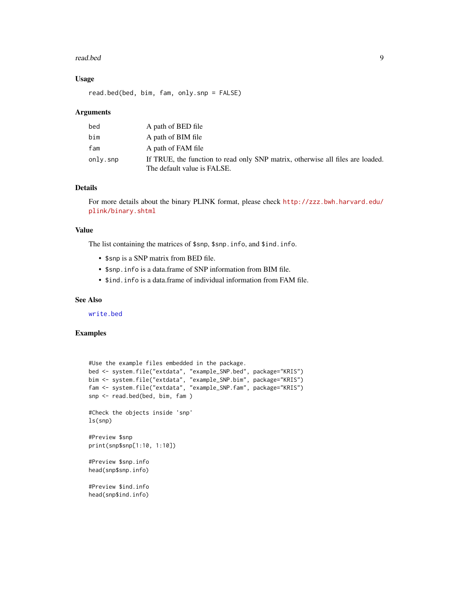#### <span id="page-8-0"></span>read.bed 9

#### Usage

read.bed(bed, bim, fam, only.snp = FALSE)

#### **Arguments**

| bed      | A path of BED file                                                                                            |
|----------|---------------------------------------------------------------------------------------------------------------|
| bim      | A path of BIM file                                                                                            |
| fam      | A path of FAM file                                                                                            |
| only.snp | If TRUE, the function to read only SNP matrix, otherwise all files are loaded.<br>The default value is FALSE. |

#### Details

For more details about the binary PLINK format, please check [http://zzz.bwh.harvard.edu/](http://zzz.bwh.harvard.edu/plink/binary.shtml) [plink/binary.shtml](http://zzz.bwh.harvard.edu/plink/binary.shtml)

#### Value

The list containing the matrices of \$snp, \$snp.info, and \$ind.info.

- \$snp is a SNP matrix from BED file.
- \$snp.info is a data.frame of SNP information from BIM file.
- \$ind.info is a data.frame of individual information from FAM file.

#### See Also

[write.bed](#page-12-1)

#### Examples

```
#Use the example files embedded in the package.
bed <- system.file("extdata", "example_SNP.bed", package="KRIS")
bim <- system.file("extdata", "example_SNP.bim", package="KRIS")
fam <- system.file("extdata", "example_SNP.fam", package="KRIS")
snp <- read.bed(bed, bim, fam )
#Check the objects inside 'snp'
ls(snp)
#Preview $snp
print(snp$snp[1:10, 1:10])
#Preview $snp.info
head(snp$snp.info)
#Preview $ind.info
head(snp$ind.info)
```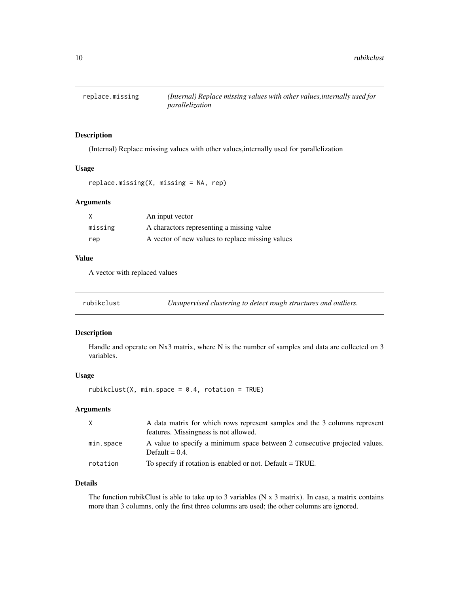<span id="page-9-0"></span>

#### Description

(Internal) Replace missing values with other values,internally used for parallelization

#### Usage

```
replace.missing(X, missing = NA, rep)
```
#### Arguments

|         | An input vector                                  |
|---------|--------------------------------------------------|
| missing | A charactors representing a missing value        |
| rep     | A vector of new values to replace missing values |

#### Value

A vector with replaced values

rubikclust *Unsupervised clustering to detect rough structures and outliers.*

#### Description

Handle and operate on Nx3 matrix, where N is the number of samples and data are collected on 3 variables.

#### Usage

rubikclust(X, min.space =  $0.4$ , rotation = TRUE)

#### Arguments

| X         | A data matrix for which rows represent samples and the 3 columns represent<br>features. Missingness is not allowed. |
|-----------|---------------------------------------------------------------------------------------------------------------------|
| min.space | A value to specify a minimum space between 2 consecutive projected values.<br>Default = $0.4$ .                     |
| rotation  | To specify if rotation is enabled or not. Default = TRUE.                                                           |

#### Details

The function rubikClust is able to take up to 3 variables ( $N \times 3$  matrix). In case, a matrix contains more than 3 columns, only the first three columns are used; the other columns are ignored.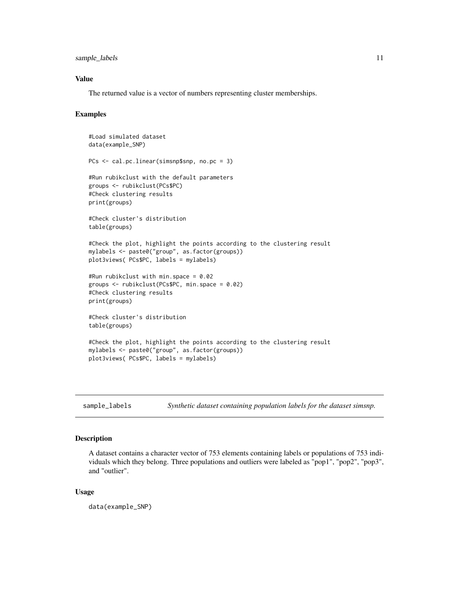<span id="page-10-0"></span>sample\_labels 11

#### Value

The returned value is a vector of numbers representing cluster memberships.

#### Examples

```
#Load simulated dataset
data(example_SNP)
PCs <- cal.pc.linear(simsnp$snp, no.pc = 3)
#Run rubikclust with the default parameters
groups <- rubikclust(PCs$PC)
#Check clustering results
print(groups)
#Check cluster's distribution
table(groups)
#Check the plot, highlight the points according to the clustering result
mylabels <- paste0("group", as.factor(groups))
plot3views( PCs$PC, labels = mylabels)
#Run rubikclust with min.space = 0.02
groups <- rubikclust(PCs$PC, min.space = 0.02)
#Check clustering results
print(groups)
#Check cluster's distribution
table(groups)
#Check the plot, highlight the points according to the clustering result
mylabels <- paste0("group", as.factor(groups))
plot3views( PCs$PC, labels = mylabels)
```
<span id="page-10-1"></span>sample\_labels *Synthetic dataset containing population labels for the dataset simsnp.*

#### Description

A dataset contains a character vector of 753 elements containing labels or populations of 753 individuals which they belong. Three populations and outliers were labeled as "pop1", "pop2", "pop3", and "outlier".

#### Usage

data(example\_SNP)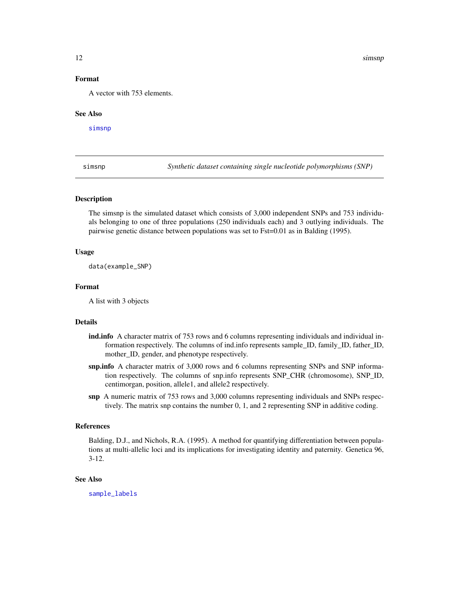#### <span id="page-11-0"></span>Format

A vector with 753 elements.

#### See Also

[simsnp](#page-11-1)

<span id="page-11-1"></span>simsnp *Synthetic dataset containing single nucleotide polymorphisms (SNP)*

#### Description

The simsnp is the simulated dataset which consists of 3,000 independent SNPs and 753 individuals belonging to one of three populations (250 individuals each) and 3 outlying individuals. The pairwise genetic distance between populations was set to Fst=0.01 as in Balding (1995).

#### Usage

data(example\_SNP)

#### Format

A list with 3 objects

#### Details

- ind.info A character matrix of 753 rows and 6 columns representing individuals and individual information respectively. The columns of ind.info represents sample\_ID, family\_ID, father\_ID, mother\_ID, gender, and phenotype respectively.
- snp.info A character matrix of 3,000 rows and 6 columns representing SNPs and SNP information respectively. The columns of snp.info represents SNP\_CHR (chromosome), SNP\_ID, centimorgan, position, allele1, and allele2 respectively.
- snp A numeric matrix of 753 rows and 3,000 columns representing individuals and SNPs respectively. The matrix snp contains the number 0, 1, and 2 representing SNP in additive coding.

#### References

Balding, D.J., and Nichols, R.A. (1995). A method for quantifying differentiation between populations at multi-allelic loci and its implications for investigating identity and paternity. Genetica 96, 3-12.

#### See Also

[sample\\_labels](#page-10-1)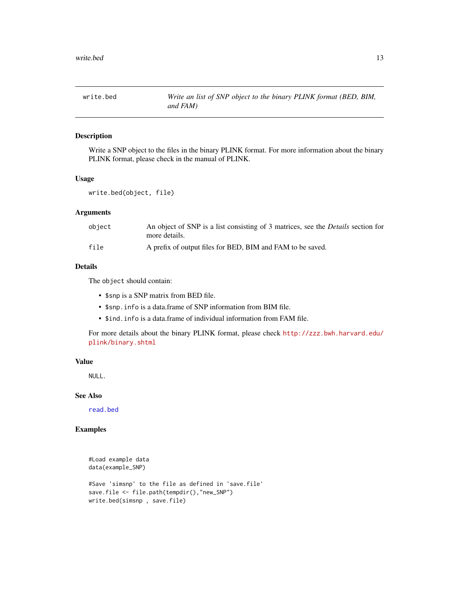<span id="page-12-1"></span><span id="page-12-0"></span>

#### Description

Write a SNP object to the files in the binary PLINK format. For more information about the binary PLINK format, please check in the manual of PLINK.

#### Usage

```
write.bed(object, file)
```
#### Arguments

| object | An object of SNP is a list consisting of 3 matrices, see the <i>Details</i> section for<br>more details. |
|--------|----------------------------------------------------------------------------------------------------------|
| file   | A prefix of output files for BED, BIM and FAM to be saved.                                               |

#### Details

The object should contain:

- \$snp is a SNP matrix from BED file.
- \$snp.info is a data.frame of SNP information from BIM file.
- \$ind.info is a data.frame of individual information from FAM file.

For more details about the binary PLINK format, please check [http://zzz.bwh.harvard.edu/](http://zzz.bwh.harvard.edu/plink/binary.shtml) [plink/binary.shtml](http://zzz.bwh.harvard.edu/plink/binary.shtml)

#### Value

NULL.

#### See Also

[read.bed](#page-7-1)

#### Examples

```
#Load example data
data(example_SNP)
#Save 'simsnp' to the file as defined in 'save.file'
save.file <- file.path(tempdir(),"new_SNP")
write.bed(simsnp , save.file)
```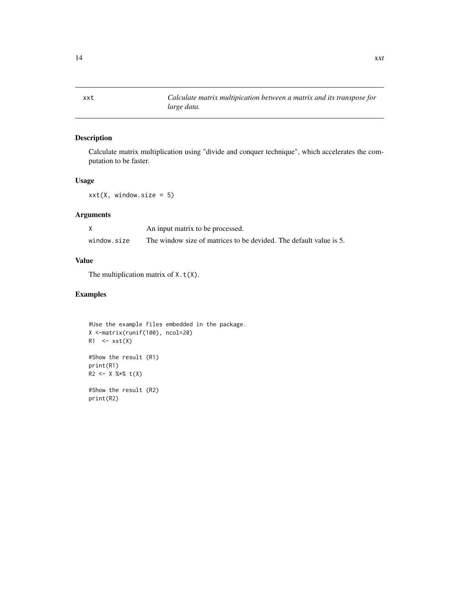#### Description

Calculate matrix multiplication using "divide and conquer technique", which accelerates the computation to be faster.

#### Usage

 $xxt(X, window.size = 5)$ 

#### Arguments

|             | An input matrix to be processed.                                   |
|-------------|--------------------------------------------------------------------|
| window.size | The window size of matrices to be devided. The default value is 5. |

#### Value

The multiplication matrix of  $X. t(X)$ .

#### Examples

```
#Use the example files embedded in the package.
X <-matrix(runif(100), ncol=20)
R1 \le -xxt(X)#Show the result (R1)
print(R1)
R2 < - X %*% t(X)#Show the result (R2)
print(R2)
```
<span id="page-13-0"></span>